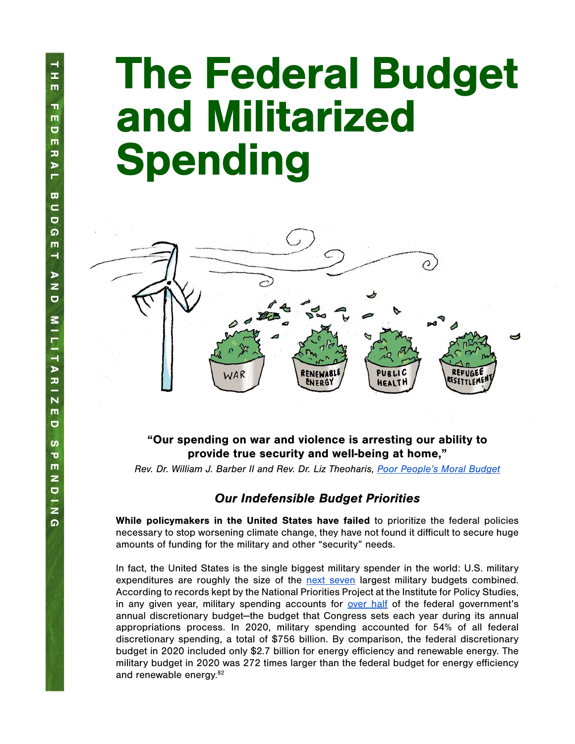# The Federal Budget and Militarized **Spending**



# "Our spending on war and violence is arresting our ability to provide true security and well-being at home,"

*Rev. Dr. William J. Barber II and Rev. Dr. Liz Theoharis, [Poor People's Moral Budget](https://www.poorpeoplescampaign.org/wp-content/uploads/2019/12/PPC-Moral-Budget-2019-report-FULL-FINAL-July.pdf)*

## Our Indefensible Budget Priorities

While policymakers in the United States have failed to prioritize the federal policies necessary to stop worsening climate change, they have not found it difficult to secure huge amounts of funding for the military and other "security" needs.

In fact, the United States is the single biggest military spender in the world: U.S. military expenditures are roughly the size of the [next seven](https://www.nationalpriorities.org/campaigns/us-military-spending-vs-world/) largest military budgets combined. According to records kept by the National Priorities Project at the Institute for Policy Studies, in any given year, military spending accounts for [over half](https://www.nationalpriorities.org/campaigns/military-spending-united-states/) of the federal government's annual discretionary budget—the budget that Congress sets each year during its annual appropriations process. In 2020, military spending accounted for 54% of all federal discretionary spending, a total of \$756 billion. By comparison, the federal discretionary budget in 2020 included only \$2.7 billion for energy efficiency and renewable energy. The military budget in 2020 was 272 times larger than the federal budget for energy efficiency and renewable energy.<sup>82</sup>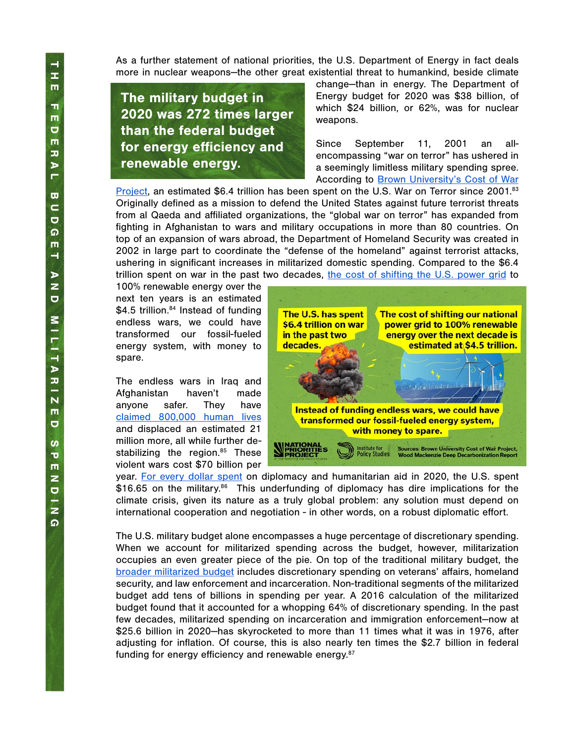As a further statement of national priorities, the U.S. Department of Energy in fact deals more in nuclear weapons—the other great existential threat to humankind, beside climate

The military budget in 2020 was 272 times larger than the federal budget for energy efficiency and renewable energy.

change—than in energy. The Department of Energy budget for 2020 was \$38 billion, of which \$24 billion, or 62%, was for nuclear weapons.

Since September 11, 2001 an allencompassing "war on terror" has ushered in a seemingly limitless military spending spree. [A](https://watson.brown.edu/costsofwar/figures/2019/budgetary-costs-post-911-wars-through-fy2020-64-trillion)ccording to **[Brown University's Cost of War](https://watson.brown.edu/costsofwar/figures/2019/budgetary-costs-post-911-wars-through-fy2020-64-trillion)** 

[Project](https://watson.brown.edu/costsofwar/figures/2019/budgetary-costs-post-911-wars-through-fy2020-64-trillion), an estimated \$6.4 trillion has been spent on the U.S. War on Terror since 2001.<sup>83</sup> Originally defined as a mission to defend the United States against future terrorist threats from al Qaeda and affiliated organizations, the "global war on terror" has expanded from fighting in Afghanistan to wars and military occupations in more than 80 countries. On top of an expansion of wars abroad, the Department of Homeland Security was created in 2002 in large part to coordinate the "defense of the homeland" against terrorist attacks, ushering in significant increases in militarized domestic spending. Compared to the \$6.4 trillion spent on war in the past two decades, [the cost of shifting the U.S. power grid](https://www.woodmac.com/news/feature/deep-decarbonisation-the-multi-trillion-dollar-question/?utm_source=gtmarticle&utm_medium=web&utm_campaign=wmpr_griddecarb) to

100% renewable energy over the next ten years is an estimated \$4.5 trillion.<sup>84</sup> Instead of funding endless wars, we could have transformed our fossil-fueled energy system, with money to spare.

The endless wars in Iraq and Afghanistan haven't made anyone safer. They have [claimed 800,000 human lives](https://watson.brown.edu/costsofwar/) and displaced an estimated 21 million more, all while further destabilizing the region.<sup>85</sup> These violent wars cost \$70 billion per



year. [For every dollar spent](https://www.nationalpriorities.org/analysis/2020/three-big-ideas-reducing-military-spending/) on diplomacy and humanitarian aid in 2020, the U.S. spent  $$16.65$  on the military.<sup>86</sup> This underfunding of diplomacy has dire implications for the climate crisis, given its nature as a truly global problem: any solution must depend on international cooperation and negotiation - in other words, on a robust diplomatic effort.

The U.S. military budget alone encompasses a huge percentage of discretionary spending. When we account for militarized spending across the budget, however, militarization occupies an even greater piece of the pie. On top of the traditional military budget, the [broader militarized budget](https://www.nationalpriorities.org/analysis/2017/militarized-budget-2017/) includes discretionary spending on veterans' affairs, homeland security, and law enforcement and incarceration. Non-traditional segments of the militarized budget add tens of billions in spending per year. A 2016 calculation of the militarized budget found that it accounted for a whopping 64% of discretionary spending. In the past few decades, militarized spending on incarceration and immigration enforcement—now at \$25.6 billion in 2020—has skyrocketed to more than 11 times what it was in 1976, after adjusting for inflation. Of course, this is also nearly ten times the \$2.7 billion in federal funding for energy efficiency and renewable energy.87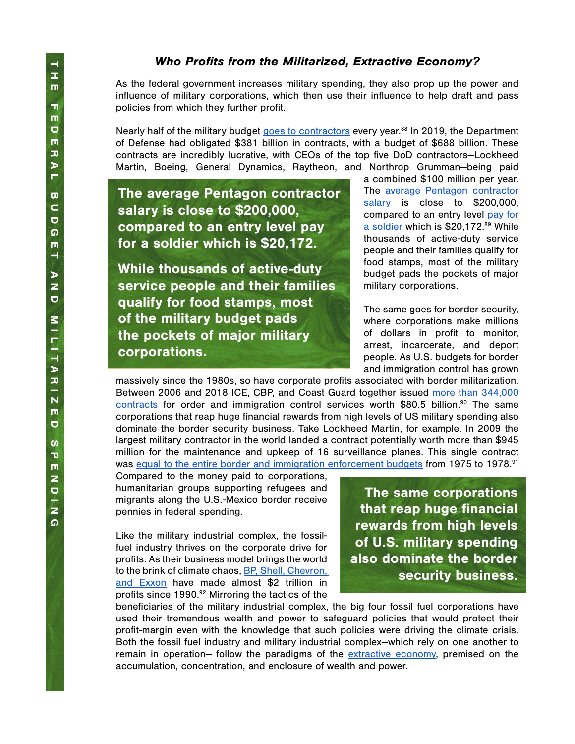### Who Profits from the Militarized, Extractive Economy?

As the federal government increases military spending, they also prop up the power and influence of military corporations, which then use their influence to help draft and pass policies from which they further profit.

Nearly half of the military budget [goes to contractors](https://media.nationalpriorities.org/uploads/publications/ppc-moral-budget-2019-report-full-final-3.pdf) every year.<sup>88</sup> In 2019, the Department of Defense had obligated \$381 billion in contracts, with a budget of \$688 billion. These contracts are incredibly lucrative, with CEOs of the top five DoD contractors—Lockheed Martin, Boeing, General Dynamics, Raytheon, and Northrop Grumman—being paid

The average Pentagon contractor salary is close to \$200,000, compared to an entry level pay for a soldier which is \$20,172.

While thousands of active-duty service people and their families qualify for food stamps, most of the military budget pads the pockets of major military corporations.

a combined \$100 million per year. The [average Pentagon contractor](https://www.marketwatch.com/story/the-average-defense-department-contractor-is-paid-nearly-200000-2016-12-06) [salary](https://www.marketwatch.com/story/the-average-defense-department-contractor-is-paid-nearly-200000-2016-12-06) is close to \$200,000, compared to an entry level [pay for](https://www.businessinsider.com/how-much-military-service-members-make-2019-2) [a soldier](https://www.businessinsider.com/how-much-military-service-members-make-2019-2) which is \$20,172.89 While thousands of active-duty service people and their families qualify for food stamps, most of the military budget pads the pockets of major military corporations.

The same goes for border security, where corporations make millions of dollars in profit to monitor, arrest, incarcerate, and deport people. As U.S. budgets for border and immigration control has grown

massively since the 1980s, so have corporate profits associated with border militarization. Between 2006 and 2018 ICE, CBP, and Coast Guard together issued [more than 344,000](https://www.tni.org/en/morethanawall) [contracts](https://www.tni.org/en/morethanawall) for order and immigration control services worth \$80.5 billion.<sup>90</sup> The same corporations that reap huge financial rewards from high levels of US military spending also dominate the border security business. Take Lockheed Martin, for example. In 2009 the largest military contractor in the world landed a contract potentially worth more than \$945 million for the maintenance and upkeep of 16 surveillance planes. This single contract was [equal to the entire border and immigration enforcement budgets](https://www.tni.org/en/morethanawall) from 1975 to 1978.<sup>91</sup>

Compared to the money paid to corporations, humanitarian groups supporting refugees and migrants along the U.S.-Mexico border receive pennies in federal spending.

Like the military industrial complex, the fossilfuel industry thrives on the corporate drive for profits. As their business model brings the world to the brink of climate chaos, [BP, Shell, Chevron,](https://www.theguardian.com/business/2020/feb/12/revealed-big-oil-profits-since-1990-total-nearly-2tn-bp-shell-chevron-exxon)  [and Exxon](https://www.theguardian.com/business/2020/feb/12/revealed-big-oil-profits-since-1990-total-nearly-2tn-bp-shell-chevron-exxon) have made almost \$2 trillion in profits since 1990.<sup>92</sup> Mirroring the tactics of the

The same corporations that reap huge financial rewards from high levels of U.S. military spending also dominate the border security business.

beneficiaries of the military industrial complex, the big four fossil fuel corporations have used their tremendous wealth and power to safeguard policies that would protect their profit-margin even with the knowledge that such policies were driving the climate crisis. Both the fossil fuel industry and military industrial complex--which rely on one another to remain in operation-- follow the paradigms of the [extractive economy](https://movementgeneration.org/wp-content/uploads/2016/11/JT_booklet_English_SPREADs_web.pdf), premised on the accumulation, concentration, and enclosure of wealth and power.